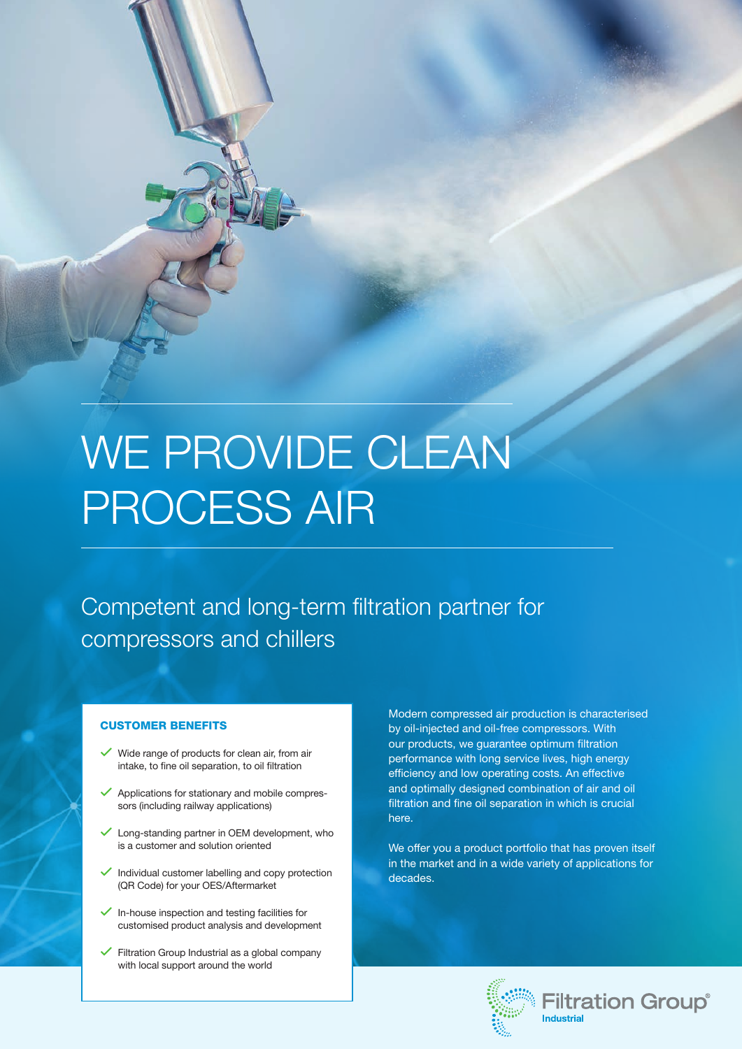# WE PROVIDE CLEAN PROCESS AIR

Competent and long-term filtration partner for compressors and chillers

### CUSTOMER BENEFITS

- Wide range of products for clean air, from air intake, to fine oil separation, to oil filtration
- Applications for stationary and mobile compressors (including railway applications)
- Long-standing partner in OEM development, who is a customer and solution oriented
- $\checkmark$  Individual customer labelling and copy protection (QR Code) for your OES/Aftermarket
- $\checkmark$  In-house inspection and testing facilities for customised product analysis and development
- Filtration Group Industrial as a global company with local support around the world

Modern compressed air production is characterised by oil-injected and oil-free compressors. With our products, we guarantee optimum filtration performance with long service lives, high energy efficiency and low operating costs. An effective and optimally designed combination of air and oil filtration and fine oil separation in which is crucial here.

We offer you a product portfolio that has proven itself in the market and in a wide variety of applications for decades.